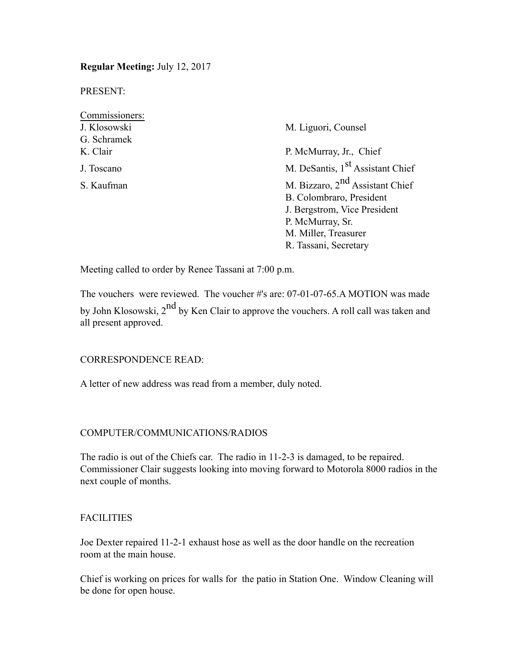**Regular Meeting:** July 12, 2017

PRESENT:

| Commissioners: |                                              |  |  |
|----------------|----------------------------------------------|--|--|
| J. Klosowski   | M. Liguori, Counsel                          |  |  |
| G. Schramek    |                                              |  |  |
| K. Clair       | P. McMurray, Jr., Chief                      |  |  |
| J. Toscano     | M. DeSantis, 1 <sup>st</sup> Assistant Chief |  |  |
| S. Kaufman     | M. Bizzaro, $2nd$ Assistant Chief            |  |  |
|                | B. Colombraro, President                     |  |  |
|                | J. Bergstrom, Vice President                 |  |  |
|                | P. McMurray, Sr.                             |  |  |
|                | M. Miller, Treasurer                         |  |  |
|                | R. Tassani, Secretary                        |  |  |

Meeting called to order by Renee Tassani at 7:00 p.m.

The vouchers were reviewed. The voucher #'s are: 07-01-07-65.A MOTION was made by John Klosowski, 2<sup>nd</sup> by Ken Clair to approve the vouchers. A roll call was taken and all present approved.

# CORRESPONDENCE READ:

A letter of new address was read from a member, duly noted.

# COMPUTER/COMMUNICATIONS/RADIOS

The radio is out of the Chiefs car. The radio in 11-2-3 is damaged, to be repaired. Commissioner Clair suggests looking into moving forward to Motorola 8000 radios in the next couple of months.

# **FACILITIES**

Joe Dexter repaired 11-2-1 exhaust hose as well as the door handle on the recreation room at the main house.

Chief is working on prices for walls for the patio in Station One. Window Cleaning will be done for open house.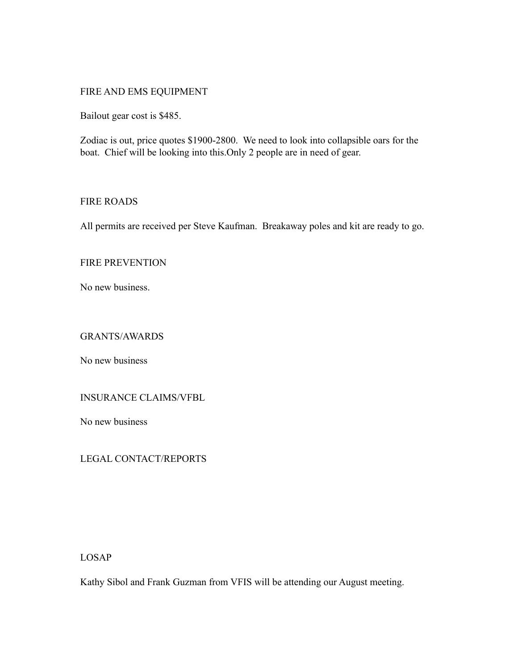# FIRE AND EMS EQUIPMENT

Bailout gear cost is \$485.

Zodiac is out, price quotes \$1900-2800. We need to look into collapsible oars for the boat. Chief will be looking into this.Only 2 people are in need of gear.

# FIRE ROADS

All permits are received per Steve Kaufman. Breakaway poles and kit are ready to go.

# FIRE PREVENTION

No new business.

### GRANTS/AWARDS

No new business

# INSURANCE CLAIMS/VFBL

No new business

# LEGAL CONTACT/REPORTS

LOSAP

Kathy Sibol and Frank Guzman from VFIS will be attending our August meeting.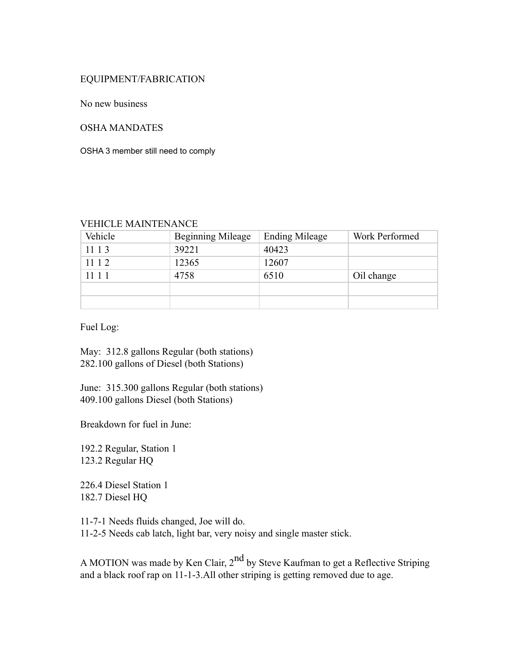# EQUIPMENT/FABRICATION

No new business

#### OSHA MANDATES

OSHA 3 member still need to comply

#### VEHICLE MAINTENANCE

| Vehicle | <b>Beginning Mileage</b> | <b>Ending Mileage</b> | Work Performed |
|---------|--------------------------|-----------------------|----------------|
| 11 1 3  | 39221                    | 40423                 |                |
| 11 1 2  | 12365                    | 12607                 |                |
| 11 1 1  | 4758                     | 6510                  | Oil change     |
|         |                          |                       |                |
|         |                          |                       |                |

Fuel Log:

May: 312.8 gallons Regular (both stations) 282.100 gallons of Diesel (both Stations)

June: 315.300 gallons Regular (both stations) 409.100 gallons Diesel (both Stations)

Breakdown for fuel in June:

192.2 Regular, Station 1 123.2 Regular HQ

226.4 Diesel Station 1 182.7 Diesel HQ

11-7-1 Needs fluids changed, Joe will do. 11-2-5 Needs cab latch, light bar, very noisy and single master stick.

A MOTION was made by Ken Clair, 2<sup>nd</sup> by Steve Kaufman to get a Reflective Striping and a black roof rap on 11-1-3.All other striping is getting removed due to age.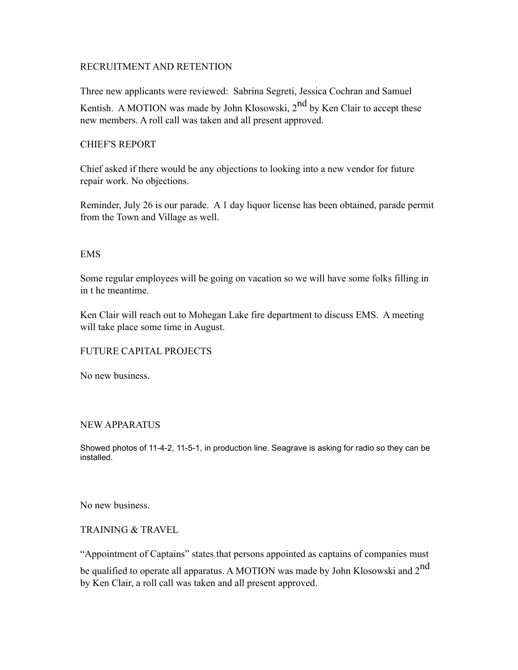# RECRUITMENT AND RETENTION

Three new applicants were reviewed: Sabrina Segreti, Jessica Cochran and Samuel Kentish. A MOTION was made by John Klosowski,  $2^{nd}$  by Ken Clair to accept these new members. A roll call was taken and all present approved.

### CHIEF'S REPORT

Chief asked if there would be any objections to looking into a new vendor for future repair work. No objections.

Reminder, July 26 is our parade. A 1 day liquor license has been obtained, parade permit from the Town and Village as well.

#### EMS

Some regular employees will be going on vacation so we will have some folks filling in in t he meantime.

Ken Clair will reach out to Mohegan Lake fire department to discuss EMS. A meeting will take place some time in August.

# FUTURE CAPITAL PROJECTS

No new business.

# NEW APPARATUS

Showed photos of 11-4-2, 11-5-1, in production line. Seagrave is asking for radio so they can be installed.

No new business.

# TRAINING & TRAVEL

"Appointment of Captains" states that persons appointed as captains of companies must be qualified to operate all apparatus. A MOTION was made by John Klosowski and 2<sup>nd</sup> by Ken Clair, a roll call was taken and all present approved.